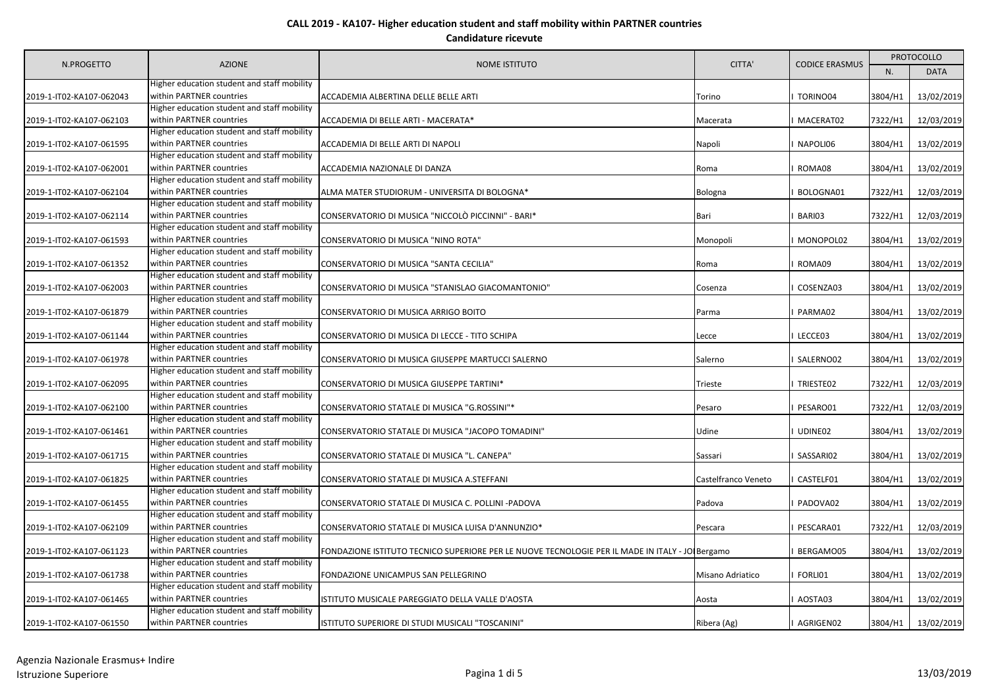|                          | <b>AZIONE</b><br>CITTA'<br><b>NOME ISTITUTO</b>                                                                        |                                                                                                 |                     |             | <b>PROTOCOLLO</b> |            |
|--------------------------|------------------------------------------------------------------------------------------------------------------------|-------------------------------------------------------------------------------------------------|---------------------|-------------|-------------------|------------|
| N.PROGETTO               |                                                                                                                        | <b>CODICE ERASMUS</b>                                                                           | N.                  | <b>DATA</b> |                   |            |
| 2019-1-IT02-KA107-062043 | Higher education student and staff mobility<br>within PARTNER countries                                                | ACCADEMIA ALBERTINA DELLE BELLE ARTI                                                            | Torino              | TORINO04    | 3804/H1           | 13/02/2019 |
| 2019-1-IT02-KA107-062103 | Higher education student and staff mobility<br>within PARTNER countries                                                | ACCADEMIA DI BELLE ARTI - MACERATA*                                                             | Macerata            | MACERAT02   | 7322/H1           | 12/03/2019 |
| 2019-1-IT02-KA107-061595 | Higher education student and staff mobility<br>within PARTNER countries                                                | ACCADEMIA DI BELLE ARTI DI NAPOLI                                                               | Napoli              | NAPOLI06    | 3804/H1           | 13/02/2019 |
| 2019-1-IT02-KA107-062001 | Higher education student and staff mobility<br>within PARTNER countries                                                | ACCADEMIA NAZIONALE DI DANZA                                                                    | Roma                | ROMA08      | 3804/H1           | 13/02/2019 |
| 2019-1-IT02-KA107-062104 | Higher education student and staff mobility<br>within PARTNER countries                                                | ALMA MATER STUDIORUM - UNIVERSITA DI BOLOGNA*                                                   | <b>Bologna</b>      | BOLOGNA01   | 7322/H1           | 12/03/2019 |
| 2019-1-IT02-KA107-062114 | Higher education student and staff mobility<br>within PARTNER countries<br>Higher education student and staff mobility | CONSERVATORIO DI MUSICA "NICCOLÒ PICCINNI" - BARI*                                              | Bari                | BARI03      | 7322/H1           | 12/03/2019 |
| 2019-1-IT02-KA107-061593 | within PARTNER countries<br>Higher education student and staff mobility                                                | CONSERVATORIO DI MUSICA "NINO ROTA"                                                             | Monopoli            | MONOPOL02   | 3804/H1           | 13/02/2019 |
| 2019-1-IT02-KA107-061352 | within PARTNER countries<br>Higher education student and staff mobility                                                | CONSERVATORIO DI MUSICA "SANTA CECILIA"                                                         | Roma                | ROMA09      | 3804/H1           | 13/02/2019 |
| 2019-1-IT02-KA107-062003 | within PARTNER countries<br>Higher education student and staff mobility                                                | CONSERVATORIO DI MUSICA "STANISLAO GIACOMANTONIO"                                               | Cosenza             | COSENZA03   | 3804/H1           | 13/02/2019 |
| 2019-1-IT02-KA107-061879 | within PARTNER countries<br>Higher education student and staff mobility                                                | CONSERVATORIO DI MUSICA ARRIGO BOITO                                                            | Parma               | PARMA02     | 3804/H1           | 13/02/2019 |
| 2019-1-IT02-KA107-061144 | within PARTNER countries<br>Higher education student and staff mobility                                                | CONSERVATORIO DI MUSICA DI LECCE - TITO SCHIPA                                                  | Lecce               | LECCE03     | 3804/H1           | 13/02/2019 |
| 2019-1-IT02-KA107-061978 | within PARTNER countries<br>Higher education student and staff mobility                                                | CONSERVATORIO DI MUSICA GIUSEPPE MARTUCCI SALERNO                                               | Salerno             | SALERNO02   | 3804/H1           | 13/02/2019 |
| 2019-1-IT02-KA107-062095 | within PARTNER countries<br>Higher education student and staff mobility                                                | CONSERVATORIO DI MUSICA GIUSEPPE TARTINI*                                                       | Trieste             | TRIESTE02   | 7322/H1           | 12/03/2019 |
| 2019-1-IT02-KA107-062100 | within PARTNER countries                                                                                               | CONSERVATORIO STATALE DI MUSICA "G.ROSSINI"*                                                    | Pesaro              | PESARO01    | 7322/H1           | 12/03/2019 |
| 2019-1-IT02-KA107-061461 | Higher education student and staff mobility<br>within PARTNER countries<br>Higher education student and staff mobility | CONSERVATORIO STATALE DI MUSICA "JACOPO TOMADINI"                                               | Udine               | UDINE02     | 3804/H1           | 13/02/2019 |
| 2019-1-IT02-KA107-061715 | within PARTNER countries<br>Higher education student and staff mobility                                                | CONSERVATORIO STATALE DI MUSICA "L. CANEPA"                                                     | Sassari             | SASSARI02   | 3804/H1           | 13/02/2019 |
| 2019-1-IT02-KA107-061825 | within PARTNER countries                                                                                               | CONSERVATORIO STATALE DI MUSICA A.STEFFANI                                                      | Castelfranco Veneto | CASTELF01   | 3804/H1           | 13/02/2019 |
| 2019-1-IT02-KA107-061455 | Higher education student and staff mobility<br>within PARTNER countries                                                | CONSERVATORIO STATALE DI MUSICA C. POLLINI -PADOVA                                              | Padova              | PADOVA02    | 3804/H1           | 13/02/2019 |
| 2019-1-IT02-KA107-062109 | Higher education student and staff mobility<br>within PARTNER countries                                                | CONSERVATORIO STATALE DI MUSICA LUISA D'ANNUNZIO*                                               | Pescara             | PESCARA01   | 7322/H1           | 12/03/2019 |
| 2019-1-IT02-KA107-061123 | Higher education student and staff mobility<br>within PARTNER countries                                                | FONDAZIONE ISTITUTO TECNICO SUPERIORE PER LE NUOVE TECNOLOGIE PER IL MADE IN ITALY - JO Bergamo |                     | BERGAMO05   | 3804/H1           | 13/02/2019 |
| 2019-1-IT02-KA107-061738 | Higher education student and staff mobility<br>within PARTNER countries                                                | FONDAZIONE UNICAMPUS SAN PELLEGRINO                                                             | Misano Adriatico    | FORLI01     | 3804/H1           | 13/02/2019 |
| 2019-1-IT02-KA107-061465 | Higher education student and staff mobility<br>within PARTNER countries                                                | ISTITUTO MUSICALE PAREGGIATO DELLA VALLE D'AOSTA                                                | Aosta               | AOSTA03     | 3804/H1           | 13/02/2019 |
| 2019-1-IT02-KA107-061550 | Higher education student and staff mobility<br>within PARTNER countries                                                | ISTITUTO SUPERIORE DI STUDI MUSICALI "TOSCANINI"                                                | Ribera (Ag)         | I AGRIGEN02 | 3804/H1           | 13/02/2019 |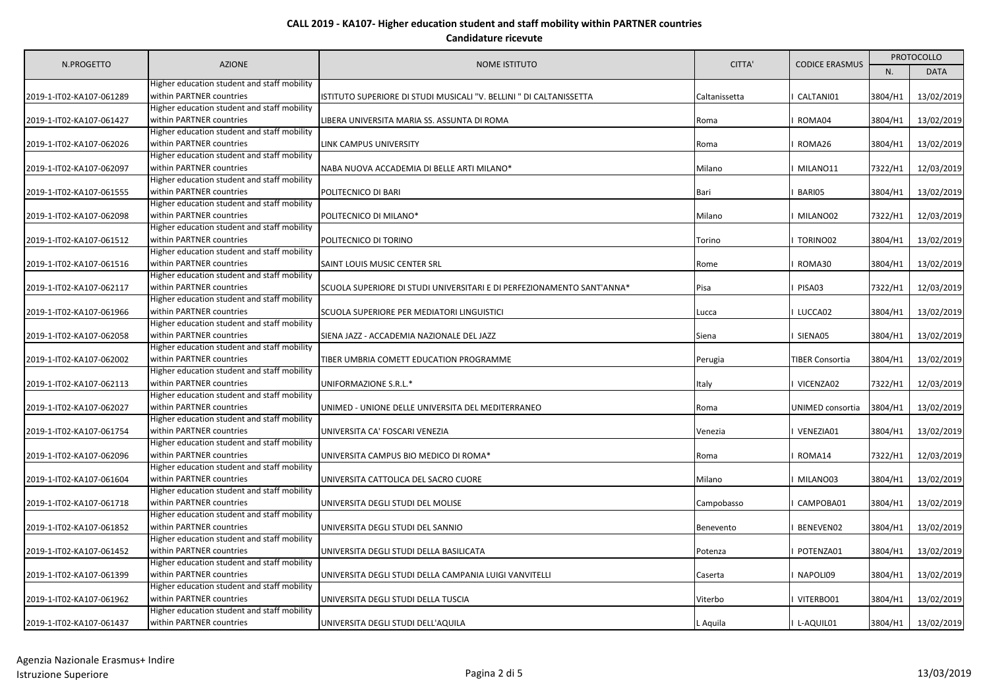| N.PROGETTO               | <b>AZIONE</b>                                                           | <b>NOME ISTITUTO</b>                                                   | CITTA'        | <b>CODICE ERASMUS</b> | <b>PROTOCOLLO</b> |             |
|--------------------------|-------------------------------------------------------------------------|------------------------------------------------------------------------|---------------|-----------------------|-------------------|-------------|
|                          |                                                                         |                                                                        |               |                       | N.                | <b>DATA</b> |
| 2019-1-IT02-KA107-061289 | Higher education student and staff mobility<br>within PARTNER countries | ISTITUTO SUPERIORE DI STUDI MUSICALI "V. BELLINI " DI CALTANISSETTA    | Caltanissetta | CALTANI01             | 3804/H1           | 13/02/2019  |
| 2019-1-IT02-KA107-061427 | Higher education student and staff mobility<br>within PARTNER countries | LIBERA UNIVERSITA MARIA SS. ASSUNTA DI ROMA                            | Roma          | ROMA04                | 3804/H1           | 13/02/2019  |
| 2019-1-IT02-KA107-062026 | Higher education student and staff mobility<br>within PARTNER countries | LINK CAMPUS UNIVERSITY                                                 | Roma          | ROMA26                | 3804/H1           | 13/02/2019  |
| 2019-1-IT02-KA107-062097 | Higher education student and staff mobility<br>within PARTNER countries | NABA NUOVA ACCADEMIA DI BELLE ARTI MILANO*                             | Milano        | MILANO11              | 7322/H1           | 12/03/2019  |
| 2019-1-IT02-KA107-061555 | Higher education student and staff mobility<br>within PARTNER countries | POLITECNICO DI BARI                                                    | Bari          | BARI05                | 3804/H1           | 13/02/2019  |
| 2019-1-IT02-KA107-062098 | Higher education student and staff mobility<br>within PARTNER countries | POLITECNICO DI MILANO*                                                 | Milano        | MILANO02              | 7322/H1           | 12/03/2019  |
| 2019-1-IT02-KA107-061512 | Higher education student and staff mobility<br>within PARTNER countries | POLITECNICO DI TORINO                                                  | Torino        | TORINO02              | 3804/H1           | 13/02/2019  |
| 2019-1-IT02-KA107-061516 | Higher education student and staff mobility<br>within PARTNER countries | SAINT LOUIS MUSIC CENTER SRL                                           | Rome          | ROMA30                | 3804/H1           | 13/02/2019  |
| 2019-1-IT02-KA107-062117 | Higher education student and staff mobility<br>within PARTNER countries | SCUOLA SUPERIORE DI STUDI UNIVERSITARI E DI PERFEZIONAMENTO SANT'ANNA* | Pisa          | PISA03                | 7322/H1           | 12/03/2019  |
| 2019-1-IT02-KA107-061966 | Higher education student and staff mobility<br>within PARTNER countries | SCUOLA SUPERIORE PER MEDIATORI LINGUISTICI                             | Lucca         | LUCCA02               | 3804/H1           | 13/02/2019  |
| 2019-1-IT02-KA107-062058 | Higher education student and staff mobility<br>within PARTNER countries | SIENA JAZZ - ACCADEMIA NAZIONALE DEL JAZZ                              | Siena         | SIENA05               | 3804/H1           | 13/02/2019  |
| 2019-1-IT02-KA107-062002 | Higher education student and staff mobility<br>within PARTNER countries | TIBER UMBRIA COMETT EDUCATION PROGRAMME                                | Perugia       | TIBER Consortia       | 3804/H1           | 13/02/2019  |
| 2019-1-IT02-KA107-062113 | Higher education student and staff mobility<br>within PARTNER countries | UNIFORMAZIONE S.R.L.*                                                  | Italy         | VICENZA02             | 7322/H1           | 12/03/2019  |
| 2019-1-IT02-KA107-062027 | Higher education student and staff mobility<br>within PARTNER countries | UNIMED - UNIONE DELLE UNIVERSITA DEL MEDITERRANEO                      | Roma          | UNIMED consortia      | 3804/H1           | 13/02/2019  |
| 2019-1-IT02-KA107-061754 | Higher education student and staff mobility<br>within PARTNER countries | UNIVERSITA CA' FOSCARI VENEZIA                                         | Venezia       | VENEZIA01             | 3804/H1           | 13/02/2019  |
| 2019-1-IT02-KA107-062096 | Higher education student and staff mobility<br>within PARTNER countries | UNIVERSITA CAMPUS BIO MEDICO DI ROMA*                                  | Roma          | ROMA14                | 7322/H1           | 12/03/2019  |
| 2019-1-IT02-KA107-061604 | Higher education student and staff mobility<br>within PARTNER countries | UNIVERSITA CATTOLICA DEL SACRO CUORE                                   | Milano        | MILANO03              | 3804/H1           | 13/02/2019  |
| 2019-1-IT02-KA107-061718 | Higher education student and staff mobility<br>within PARTNER countries | UNIVERSITA DEGLI STUDI DEL MOLISE                                      | Campobasso    | CAMPOBA01             | 3804/H1           | 13/02/2019  |
| 2019-1-IT02-KA107-061852 | Higher education student and staff mobility<br>within PARTNER countries | UNIVERSITA DEGLI STUDI DEL SANNIO                                      | Benevento     | BENEVEN02             | 3804/H1           | 13/02/2019  |
| 2019-1-IT02-KA107-061452 | Higher education student and staff mobility<br>within PARTNER countries | UNIVERSITA DEGLI STUDI DELLA BASILICATA                                | Potenza       | POTENZA01             | 3804/H1           | 13/02/2019  |
| 2019-1-IT02-KA107-061399 | Higher education student and staff mobility<br>within PARTNER countries | UNIVERSITA DEGLI STUDI DELLA CAMPANIA LUIGI VANVITELLI                 | Caserta       | NAPOLI09              | 3804/H1           | 13/02/2019  |
| 2019-1-IT02-KA107-061962 | Higher education student and staff mobility<br>within PARTNER countries | UNIVERSITA DEGLI STUDI DELLA TUSCIA                                    | Viterbo       | VITERBO01             | 3804/H1           | 13/02/2019  |
| 2019-1-IT02-KA107-061437 | Higher education student and staff mobility<br>within PARTNER countries | UNIVERSITA DEGLI STUDI DELL'AQUILA                                     | L Aquila      | L-AQUIL01             | 3804/H1           | 13/02/2019  |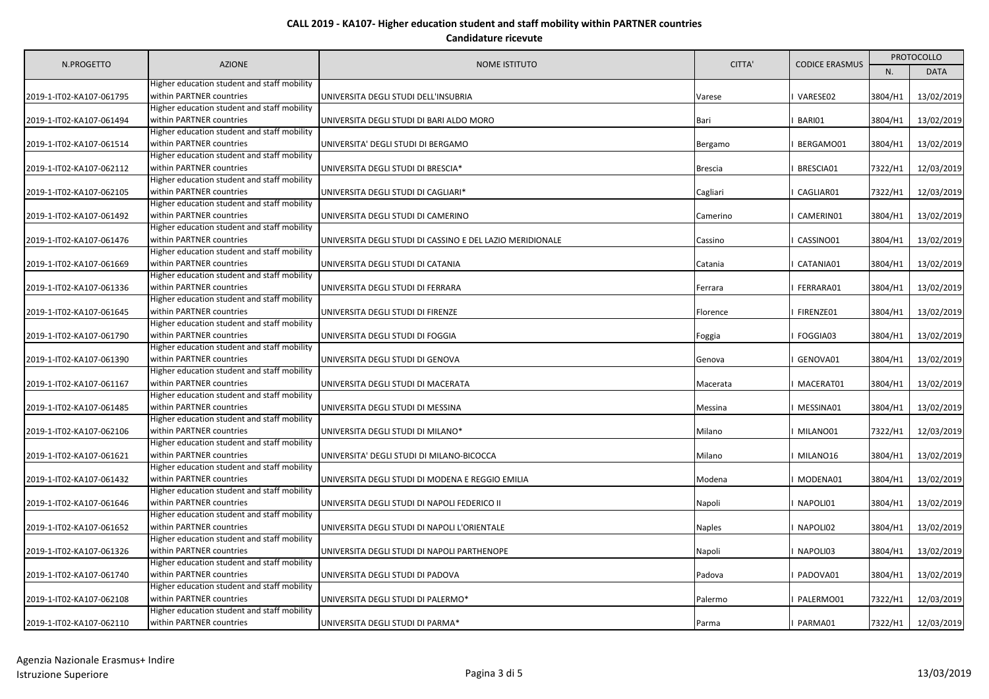| N.PROGETTO               | <b>AZIONE</b>                                                           | NOME ISTITUTO                                             | CITTA'   | <b>CODICE ERASMUS</b> | <b>PROTOCOLLO</b> |             |
|--------------------------|-------------------------------------------------------------------------|-----------------------------------------------------------|----------|-----------------------|-------------------|-------------|
|                          |                                                                         |                                                           |          |                       | N.                | <b>DATA</b> |
| 2019-1-IT02-KA107-061795 | Higher education student and staff mobility<br>within PARTNER countries | UNIVERSITA DEGLI STUDI DELL'INSUBRIA                      | Varese   | VARESE02              | 3804/H1           | 13/02/2019  |
|                          | Higher education student and staff mobility                             |                                                           |          |                       |                   |             |
| 2019-1-IT02-KA107-061494 | within PARTNER countries                                                | UNIVERSITA DEGLI STUDI DI BARI ALDO MORO                  | Bari     | BARI01                | 3804/H1           | 13/02/2019  |
|                          | Higher education student and staff mobility                             |                                                           |          |                       |                   |             |
| 2019-1-IT02-KA107-061514 | within PARTNER countries                                                | UNIVERSITA' DEGLI STUDI DI BERGAMO                        | Bergamo  | BERGAMO01             | 3804/H1           | 13/02/2019  |
|                          | Higher education student and staff mobility<br>within PARTNER countries |                                                           |          |                       |                   |             |
| 2019-1-IT02-KA107-062112 | Higher education student and staff mobility                             | UNIVERSITA DEGLI STUDI DI BRESCIA*                        | Brescia  | BRESCIA01             | 7322/H1           | 12/03/2019  |
| 2019-1-IT02-KA107-062105 | within PARTNER countries                                                | UNIVERSITA DEGLI STUDI DI CAGLIARI*                       | Cagliari | CAGLIAR01             | 7322/H1           | 12/03/2019  |
|                          | Higher education student and staff mobility                             |                                                           |          |                       |                   |             |
| 2019-1-IT02-KA107-061492 | within PARTNER countries                                                | UNIVERSITA DEGLI STUDI DI CAMERINO                        | Camerino | CAMERIN01             | 3804/H1           | 13/02/2019  |
|                          | Higher education student and staff mobility                             |                                                           |          |                       |                   |             |
| 2019-1-IT02-KA107-061476 | within PARTNER countries                                                | UNIVERSITA DEGLI STUDI DI CASSINO E DEL LAZIO MERIDIONALE | Cassino  | CASSINO01             | 3804/H1           | 13/02/2019  |
|                          | Higher education student and staff mobility                             |                                                           |          |                       |                   |             |
| 2019-1-IT02-KA107-061669 | within PARTNER countries                                                | UNIVERSITA DEGLI STUDI DI CATANIA                         | Catania  | CATANIA01             | 3804/H1           | 13/02/2019  |
|                          | Higher education student and staff mobility                             |                                                           |          |                       |                   |             |
| 2019-1-IT02-KA107-061336 | within PARTNER countries                                                | UNIVERSITA DEGLI STUDI DI FERRARA                         | Ferrara  | FERRARA01             | 3804/H1           | 13/02/2019  |
|                          | Higher education student and staff mobility                             |                                                           |          |                       |                   |             |
| 2019-1-IT02-KA107-061645 | within PARTNER countries<br>Higher education student and staff mobility | UNIVERSITA DEGLI STUDI DI FIRENZE                         | Florence | FIRENZE01             | 3804/H1           | 13/02/2019  |
|                          | within PARTNER countries                                                |                                                           |          | FOGGIA03              |                   | 13/02/2019  |
| 2019-1-IT02-KA107-061790 | Higher education student and staff mobility                             | UNIVERSITA DEGLI STUDI DI FOGGIA                          | Foggia   |                       | 3804/H1           |             |
| 2019-1-IT02-KA107-061390 | within PARTNER countries                                                | UNIVERSITA DEGLI STUDI DI GENOVA                          | Genova   | GENOVA01              | 3804/H1           | 13/02/2019  |
|                          | Higher education student and staff mobility                             |                                                           |          |                       |                   |             |
| 2019-1-IT02-KA107-061167 | within PARTNER countries                                                | UNIVERSITA DEGLI STUDI DI MACERATA                        | Macerata | MACERAT01             | 3804/H1           | 13/02/2019  |
|                          | Higher education student and staff mobility                             |                                                           |          |                       |                   |             |
| 2019-1-IT02-KA107-061485 | within PARTNER countries                                                | UNIVERSITA DEGLI STUDI DI MESSINA                         | Messina  | MESSINA01             | 3804/H1           | 13/02/2019  |
|                          | Higher education student and staff mobility                             |                                                           |          |                       |                   |             |
| 2019-1-IT02-KA107-062106 | within PARTNER countries                                                | UNIVERSITA DEGLI STUDI DI MILANO*                         | Milano   | MILANO01              | 7322/H1           | 12/03/2019  |
|                          | Higher education student and staff mobility                             |                                                           |          |                       |                   |             |
| 2019-1-IT02-KA107-061621 | within PARTNER countries                                                | UNIVERSITA' DEGLI STUDI DI MILANO-BICOCCA                 | Milano   | MILANO16              | 3804/H1           | 13/02/2019  |
|                          | Higher education student and staff mobility                             |                                                           |          |                       |                   |             |
| 2019-1-IT02-KA107-061432 | within PARTNER countries<br>Higher education student and staff mobility | UNIVERSITA DEGLI STUDI DI MODENA E REGGIO EMILIA          | Modena   | MODENA01              | 3804/H1           | 13/02/2019  |
| 2019-1-IT02-KA107-061646 | within PARTNER countries                                                | UNIVERSITA DEGLI STUDI DI NAPOLI FEDERICO II              | Napoli   | NAPOLI01              | 3804/H1           | 13/02/2019  |
|                          | Higher education student and staff mobility                             |                                                           |          |                       |                   |             |
| 2019-1-IT02-KA107-061652 | within PARTNER countries                                                | UNIVERSITA DEGLI STUDI DI NAPOLI L'ORIENTALE              | Naples   | NAPOLI02              | 3804/H1           | 13/02/2019  |
|                          | Higher education student and staff mobility                             |                                                           |          |                       |                   |             |
| 2019-1-IT02-KA107-061326 | within PARTNER countries                                                | UNIVERSITA DEGLI STUDI DI NAPOLI PARTHENOPE               | Napoli   | NAPOLI03              | 3804/H1           | 13/02/2019  |
|                          | Higher education student and staff mobility                             |                                                           |          |                       |                   |             |
| 2019-1-IT02-KA107-061740 | within PARTNER countries                                                | UNIVERSITA DEGLI STUDI DI PADOVA                          | Padova   | PADOVA01              | 3804/H1           | 13/02/2019  |
|                          | Higher education student and staff mobility                             |                                                           |          |                       |                   |             |
| 2019-1-IT02-KA107-062108 | within PARTNER countries                                                | UNIVERSITA DEGLI STUDI DI PALERMO*                        | Palermo  | PALERMO01             | 7322/H1           | 12/03/2019  |
|                          | Higher education student and staff mobility                             |                                                           |          |                       |                   |             |
| 2019-1-IT02-KA107-062110 | within PARTNER countries                                                | UNIVERSITA DEGLI STUDI DI PARMA*                          | Parma    | PARMA01               | 7322/H1           | 12/03/2019  |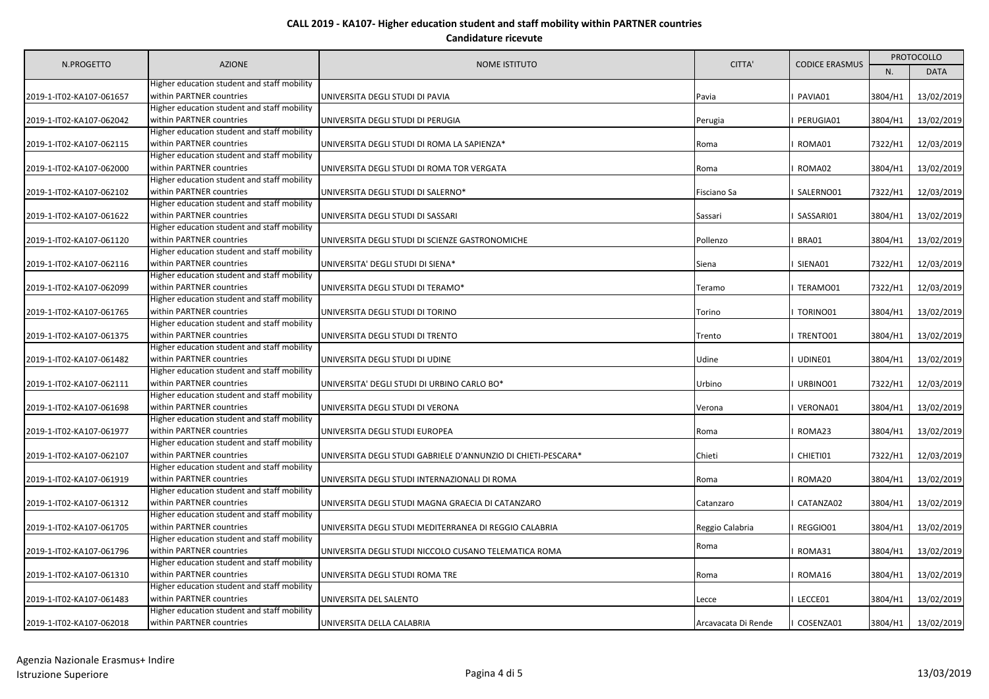| N.PROGETTO               | <b>AZIONE</b>                                                                                                          | NOME ISTITUTO                                                 | CITTA'              | <b>CODICE ERASMUS</b> | <b>PROTOCOLLO</b> |             |
|--------------------------|------------------------------------------------------------------------------------------------------------------------|---------------------------------------------------------------|---------------------|-----------------------|-------------------|-------------|
|                          |                                                                                                                        |                                                               |                     |                       | N.                | <b>DATA</b> |
| 2019-1-IT02-KA107-061657 | Higher education student and staff mobility<br>within PARTNER countries                                                | UNIVERSITA DEGLI STUDI DI PAVIA                               | Pavia               | PAVIA01               | 3804/H1           | 13/02/2019  |
| 2019-1-IT02-KA107-062042 | Higher education student and staff mobility<br>within PARTNER countries                                                | UNIVERSITA DEGLI STUDI DI PERUGIA                             | Perugia             | PERUGIA01             | 3804/H1           | 13/02/2019  |
| 2019-1-IT02-KA107-062115 | Higher education student and staff mobility<br>within PARTNER countries                                                | UNIVERSITA DEGLI STUDI DI ROMA LA SAPIENZA*                   | Roma                | ROMA01                | 7322/H1           | 12/03/2019  |
| 2019-1-IT02-KA107-062000 | Higher education student and staff mobility<br>within PARTNER countries                                                | UNIVERSITA DEGLI STUDI DI ROMA TOR VERGATA                    | Roma                | ROMA02                | 3804/H1           | 13/02/2019  |
| 2019-1-IT02-KA107-062102 | Higher education student and staff mobility<br>within PARTNER countries<br>Higher education student and staff mobility | UNIVERSITA DEGLI STUDI DI SALERNO*                            | Fisciano Sa         | SALERNO01             | 7322/H1           | 12/03/2019  |
| 2019-1-IT02-KA107-061622 | within PARTNER countries<br>Higher education student and staff mobility                                                | UNIVERSITA DEGLI STUDI DI SASSARI                             | Sassari             | SASSARI01             | 3804/H1           | 13/02/2019  |
| 2019-1-IT02-KA107-061120 | within PARTNER countries<br>Higher education student and staff mobility                                                | UNIVERSITA DEGLI STUDI DI SCIENZE GASTRONOMICHE               | Pollenzo            | BRA01                 | 3804/H1           | 13/02/2019  |
| 2019-1-IT02-KA107-062116 | within PARTNER countries<br>Higher education student and staff mobility                                                | UNIVERSITA' DEGLI STUDI DI SIENA*                             | Siena               | SIENA01               | 7322/H1           | 12/03/2019  |
| 2019-1-IT02-KA107-062099 | within PARTNER countries<br>Higher education student and staff mobility                                                | UNIVERSITA DEGLI STUDI DI TERAMO*                             | Teramo              | TERAMO01              | 7322/H1           | 12/03/2019  |
| 2019-1-IT02-KA107-061765 | within PARTNER countries<br>Higher education student and staff mobility                                                | UNIVERSITA DEGLI STUDI DI TORINO                              | Torino              | TORINO01              | 3804/H1           | 13/02/2019  |
| 2019-1-IT02-KA107-061375 | within PARTNER countries<br>Higher education student and staff mobility                                                | UNIVERSITA DEGLI STUDI DI TRENTO                              | Trento              | TRENTO01              | 3804/H1           | 13/02/2019  |
| 2019-1-IT02-KA107-061482 | within PARTNER countries<br>Higher education student and staff mobility                                                | UNIVERSITA DEGLI STUDI DI UDINE                               | Udine               | UDINE01               | 3804/H1           | 13/02/2019  |
| 2019-1-IT02-KA107-062111 | within PARTNER countries<br>Higher education student and staff mobility                                                | UNIVERSITA' DEGLI STUDI DI URBINO CARLO BO*                   | Urbino              | URBINO01              | 7322/H1           | 12/03/2019  |
| 2019-1-IT02-KA107-061698 | within PARTNER countries<br>Higher education student and staff mobility                                                | UNIVERSITA DEGLI STUDI DI VERONA                              | Verona              | VERONA01              | 3804/H1           | 13/02/2019  |
| 2019-1-IT02-KA107-061977 | within PARTNER countries<br>Higher education student and staff mobility                                                | UNIVERSITA DEGLI STUDI EUROPEA                                | Roma                | ROMA23                | 3804/H1           | 13/02/2019  |
| 2019-1-IT02-KA107-062107 | within PARTNER countries<br>Higher education student and staff mobility                                                | UNIVERSITA DEGLI STUDI GABRIELE D'ANNUNZIO DI CHIETI-PESCARA* | Chieti              | CHIETI01              | 7322/H1           | 12/03/2019  |
| 2019-1-IT02-KA107-061919 | within PARTNER countries<br>Higher education student and staff mobility                                                | UNIVERSITA DEGLI STUDI INTERNAZIONALI DI ROMA                 | Roma                | ROMA20                | 3804/H1           | 13/02/2019  |
| 2019-1-IT02-KA107-061312 | within PARTNER countries<br>Higher education student and staff mobility                                                | UNIVERSITA DEGLI STUDI MAGNA GRAECIA DI CATANZARO             | Catanzaro           | CATANZA02             | 3804/H1           | 13/02/2019  |
| 2019-1-IT02-KA107-061705 | within PARTNER countries<br>Higher education student and staff mobility                                                | UNIVERSITA DEGLI STUDI MEDITERRANEA DI REGGIO CALABRIA        | Reggio Calabria     | REGGIO01              | 3804/H1           | 13/02/2019  |
| 2019-1-IT02-KA107-061796 | within PARTNER countries<br>Higher education student and staff mobility                                                | UNIVERSITA DEGLI STUDI NICCOLO CUSANO TELEMATICA ROMA         | Roma                | ROMA31                | 3804/H1           | 13/02/2019  |
| 2019-1-IT02-KA107-061310 | within PARTNER countries<br>Higher education student and staff mobility                                                | UNIVERSITA DEGLI STUDI ROMA TRE                               | Roma                | ROMA16                | 3804/H1           | 13/02/2019  |
| 2019-1-IT02-KA107-061483 | within PARTNER countries<br>Higher education student and staff mobility                                                | UNIVERSITA DEL SALENTO                                        | Lecce               | LECCE01               | 3804/H1           | 13/02/2019  |
| 2019-1-IT02-KA107-062018 | within PARTNER countries                                                                                               | UNIVERSITA DELLA CALABRIA                                     | Arcavacata Di Rende | COSENZA01             | 3804/H1           | 13/02/2019  |